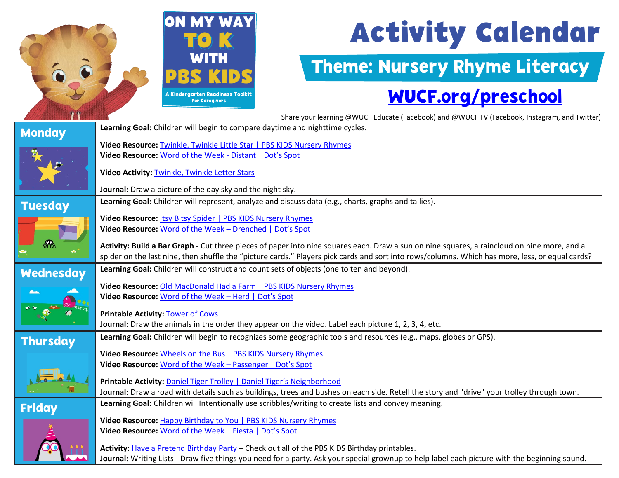

# **Activity Calendar**

#### Theme: Nursery Rhyme Literacy

### [WUCF.org/preschool](https://www.wucf.org/community/family/wucf-on-my-way-to-k/)

Share your learning @WUCF Educate (Facebook) and @WUCF TV (Facebook, Instagram, and Twitter)

| Learning Goal: Children will begin to compare daytime and nighttime cycles.                                                                     |  |  |
|-------------------------------------------------------------------------------------------------------------------------------------------------|--|--|
|                                                                                                                                                 |  |  |
|                                                                                                                                                 |  |  |
|                                                                                                                                                 |  |  |
| Video Activity: Twinkle, Twinkle Letter Stars                                                                                                   |  |  |
|                                                                                                                                                 |  |  |
| Learning Goal: Children will represent, analyze and discuss data (e.g., charts, graphs and tallies).                                            |  |  |
| Video Resource: Itsy Bitsy Spider   PBS KIDS Nursery Rhymes                                                                                     |  |  |
|                                                                                                                                                 |  |  |
|                                                                                                                                                 |  |  |
| Activity: Build a Bar Graph - Cut three pieces of paper into nine squares each. Draw a sun on nine squares, a raincloud on nine more, and a     |  |  |
| spider on the last nine, then shuffle the "picture cards." Players pick cards and sort into rows/columns. Which has more, less, or equal cards? |  |  |
| Learning Goal: Children will construct and count sets of objects (one to ten and beyond).<br><b>Wednesday</b>                                   |  |  |
| Video Resource: Old MacDonald Had a Farm   PBS KIDS Nursery Rhymes                                                                              |  |  |
|                                                                                                                                                 |  |  |
| <b>Printable Activity: Tower of Cows</b>                                                                                                        |  |  |
|                                                                                                                                                 |  |  |
|                                                                                                                                                 |  |  |
| Learning Goal: Children will begin to recognizes some geographic tools and resources (e.g., maps, globes or GPS).                               |  |  |
| Video Resource: Wheels on the Bus   PBS KIDS Nursery Rhymes                                                                                     |  |  |
|                                                                                                                                                 |  |  |
|                                                                                                                                                 |  |  |
| Journal: Draw a road with details such as buildings, trees and bushes on each side. Retell the story and "drive" your trolley through town.     |  |  |
|                                                                                                                                                 |  |  |
|                                                                                                                                                 |  |  |
| Video Resource: Happy Birthday to You   PBS KIDS Nursery Rhymes                                                                                 |  |  |
|                                                                                                                                                 |  |  |
| Activity: Have a Pretend Birthday Party - Check out all of the PBS KIDS Birthday printables.                                                    |  |  |
| Journal: Writing Lists - Draw five things you need for a party. Ask your special grownup to help label each picture with the beginning sound.   |  |  |
|                                                                                                                                                 |  |  |